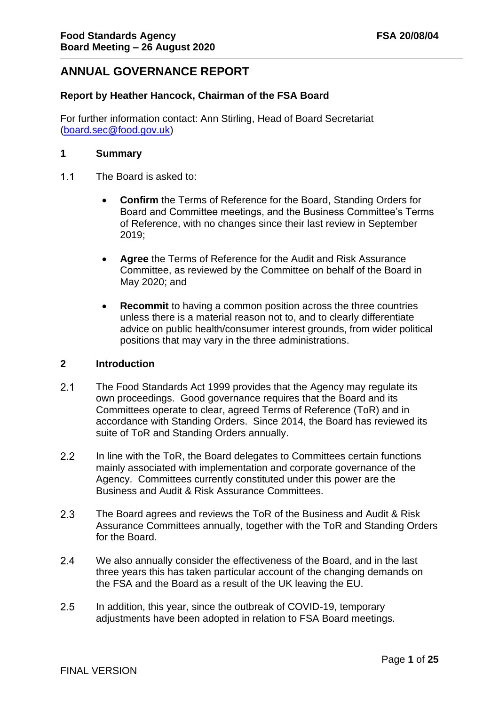# **ANNUAL GOVERNANCE REPORT**

### **Report by Heather Hancock, Chairman of the FSA Board**

For further information contact: Ann Stirling, Head of Board Secretariat [\(board.sec@food.gov.uk\)](mailto:board.sec@food.gov.uk)

#### **1 Summary**

- The Board is asked to:  $1.1$ 
	- **Confirm** the Terms of Reference for the Board, Standing Orders for Board and Committee meetings, and the Business Committee's Terms of Reference, with no changes since their last review in September 2019;
	- **Agree** the Terms of Reference for the Audit and Risk Assurance Committee, as reviewed by the Committee on behalf of the Board in May 2020; and
	- **Recommit** to having a common position across the three countries unless there is a material reason not to, and to clearly differentiate advice on public health/consumer interest grounds, from wider political positions that may vary in the three administrations.

#### **2 Introduction**

- $2.1$ The Food Standards Act 1999 provides that the Agency may regulate its own proceedings. Good governance requires that the Board and its Committees operate to clear, agreed Terms of Reference (ToR) and in accordance with Standing Orders. Since 2014, the Board has reviewed its suite of ToR and Standing Orders annually.
- $2.2$ In line with the ToR, the Board delegates to Committees certain functions mainly associated with implementation and corporate governance of the Agency. Committees currently constituted under this power are the Business and Audit & Risk Assurance Committees.
- $2.3$ The Board agrees and reviews the ToR of the Business and Audit & Risk Assurance Committees annually, together with the ToR and Standing Orders for the Board.
- $2.4$ We also annually consider the effectiveness of the Board, and in the last three years this has taken particular account of the changing demands on the FSA and the Board as a result of the UK leaving the EU.
- $2.5$ In addition, this year, since the outbreak of COVID-19, temporary adjustments have been adopted in relation to FSA Board meetings.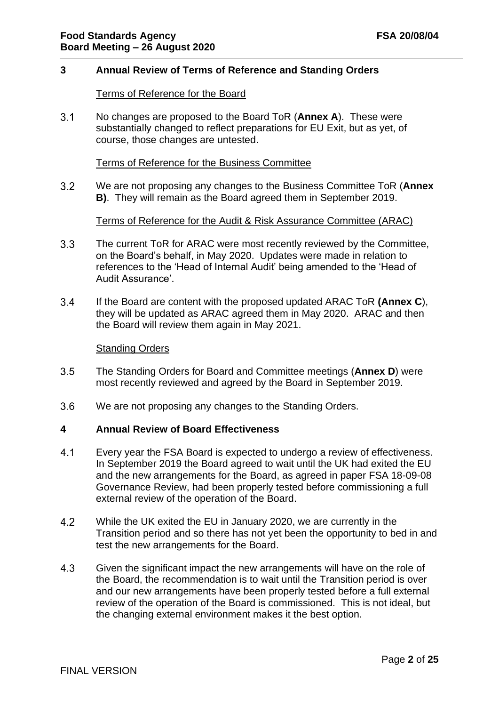#### **3 Annual Review of Terms of Reference and Standing Orders**

#### Terms of Reference for the Board

 $3.1$ No changes are proposed to the Board ToR (**Annex A**). These were substantially changed to reflect preparations for EU Exit, but as yet, of course, those changes are untested.

#### Terms of Reference for the Business Committee

 $3.2$ We are not proposing any changes to the Business Committee ToR (**Annex B)**. They will remain as the Board agreed them in September 2019.

#### Terms of Reference for the Audit & Risk Assurance Committee (ARAC)

- $3.3$ The current ToR for ARAC were most recently reviewed by the Committee, on the Board's behalf, in May 2020. Updates were made in relation to references to the 'Head of Internal Audit' being amended to the 'Head of Audit Assurance'.
- $3.4$ If the Board are content with the proposed updated ARAC ToR **(Annex C**), they will be updated as ARAC agreed them in May 2020. ARAC and then the Board will review them again in May 2021.

#### Standing Orders

- $3.5$ The Standing Orders for Board and Committee meetings (**Annex D**) were most recently reviewed and agreed by the Board in September 2019.
- $3.6$ We are not proposing any changes to the Standing Orders.

#### **4 Annual Review of Board Effectiveness**

- $4.1$ Every year the FSA Board is expected to undergo a review of effectiveness. In September 2019 the Board agreed to wait until the UK had exited the EU and the new arrangements for the Board, as agreed in paper FSA 18-09-08 Governance Review, had been properly tested before commissioning a full external review of the operation of the Board.
- 4.2 While the UK exited the EU in January 2020, we are currently in the Transition period and so there has not yet been the opportunity to bed in and test the new arrangements for the Board.
- 4.3 Given the significant impact the new arrangements will have on the role of the Board, the recommendation is to wait until the Transition period is over and our new arrangements have been properly tested before a full external review of the operation of the Board is commissioned. This is not ideal, but the changing external environment makes it the best option.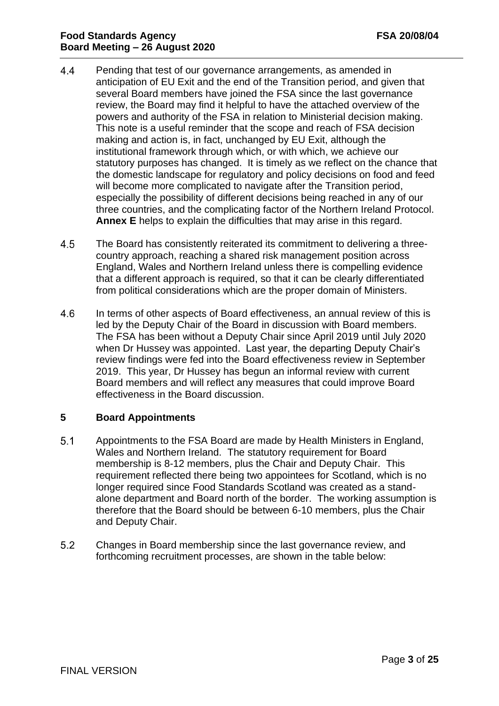- $4.4$ Pending that test of our governance arrangements, as amended in anticipation of EU Exit and the end of the Transition period, and given that several Board members have joined the FSA since the last governance review, the Board may find it helpful to have the attached overview of the powers and authority of the FSA in relation to Ministerial decision making. This note is a useful reminder that the scope and reach of FSA decision making and action is, in fact, unchanged by EU Exit, although the institutional framework through which, or with which, we achieve our statutory purposes has changed. It is timely as we reflect on the chance that the domestic landscape for regulatory and policy decisions on food and feed will become more complicated to navigate after the Transition period, especially the possibility of different decisions being reached in any of our three countries, and the complicating factor of the Northern Ireland Protocol. **Annex E** helps to explain the difficulties that may arise in this regard.
- 4.5 The Board has consistently reiterated its commitment to delivering a threecountry approach, reaching a shared risk management position across England, Wales and Northern Ireland unless there is compelling evidence that a different approach is required, so that it can be clearly differentiated from political considerations which are the proper domain of Ministers.
- 4.6 In terms of other aspects of Board effectiveness, an annual review of this is led by the Deputy Chair of the Board in discussion with Board members. The FSA has been without a Deputy Chair since April 2019 until July 2020 when Dr Hussey was appointed. Last year, the departing Deputy Chair's review findings were fed into the Board effectiveness review in September 2019. This year, Dr Hussey has begun an informal review with current Board members and will reflect any measures that could improve Board effectiveness in the Board discussion.

### **5 Board Appointments**

- $5.1$ Appointments to the FSA Board are made by Health Ministers in England, Wales and Northern Ireland. The statutory requirement for Board membership is 8-12 members, plus the Chair and Deputy Chair. This requirement reflected there being two appointees for Scotland, which is no longer required since Food Standards Scotland was created as a standalone department and Board north of the border. The working assumption is therefore that the Board should be between 6-10 members, plus the Chair and Deputy Chair.
- $5.2$ Changes in Board membership since the last governance review, and forthcoming recruitment processes, are shown in the table below: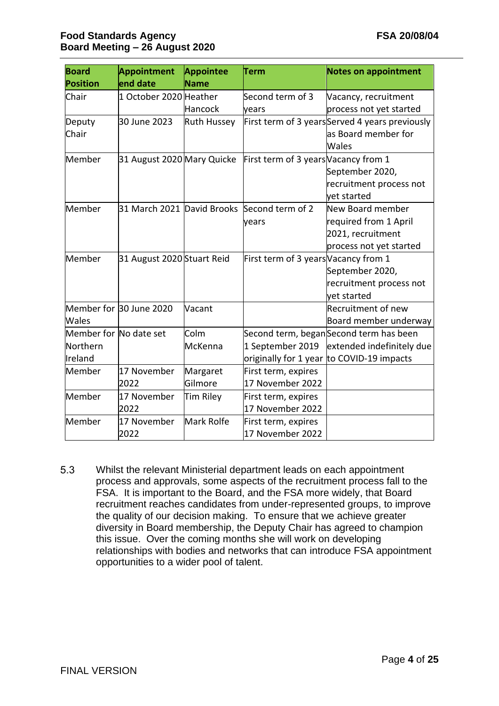| <b>Board</b>           | <b>Appointment</b>         | <b>Appointee</b>   | Term                                 | <b>Notes on appointment</b>                    |
|------------------------|----------------------------|--------------------|--------------------------------------|------------------------------------------------|
| <b>Position</b>        | end date                   | <b>Name</b>        |                                      |                                                |
| Chair                  | 1 October 2020 Heather     |                    | Second term of 3                     | Vacancy, recruitment                           |
|                        |                            | Hancock            | vears                                | process not yet started                        |
| Deputy                 | 30 June 2023               | <b>Ruth Hussey</b> |                                      | First term of 3 yearsServed 4 years previously |
| Chair                  |                            |                    |                                      | as Board member for                            |
|                        |                            |                    |                                      | Wales                                          |
| Member                 | 31 August 2020 Mary Quicke |                    | First term of 3 years Vacancy from 1 |                                                |
|                        |                            |                    |                                      | September 2020,                                |
|                        |                            |                    |                                      | recruitment process not                        |
|                        |                            |                    |                                      | vet started                                    |
| Member                 | 31 March 2021 David Brooks |                    | Second term of 2                     | New Board member                               |
|                        |                            |                    | years                                | required from 1 April                          |
|                        |                            |                    |                                      | 2021, recruitment                              |
|                        |                            |                    |                                      | process not yet started                        |
| Member                 | 31 August 2020 Stuart Reid |                    | First term of 3 years Vacancy from 1 |                                                |
|                        |                            |                    |                                      | September 2020,                                |
|                        |                            |                    |                                      | recruitment process not                        |
|                        |                            |                    |                                      | yet started                                    |
|                        | Member for 30 June 2020    | Vacant             |                                      | Recruitment of new                             |
| Wales                  |                            |                    |                                      | Board member underway                          |
| Member for No date set |                            | Colm               |                                      | Second term, beganSecond term has been         |
| Northern               |                            | McKenna            | 1 September 2019                     | extended indefinitely due                      |
| Ireland                |                            |                    | originally for 1 year                | to COVID-19 impacts                            |
| Member                 | 17 November                | Margaret           | First term, expires                  |                                                |
|                        | 2022                       | Gilmore            | 17 November 2022                     |                                                |
| Member                 | 17 November                | Tim Riley          | First term, expires                  |                                                |
|                        | 2022                       |                    | 17 November 2022                     |                                                |
| Member                 | 17 November                | Mark Rolfe         | First term, expires                  |                                                |
|                        | 2022                       |                    | 17 November 2022                     |                                                |

 $5.3$ Whilst the relevant Ministerial department leads on each appointment process and approvals, some aspects of the recruitment process fall to the FSA. It is important to the Board, and the FSA more widely, that Board recruitment reaches candidates from under-represented groups, to improve the quality of our decision making. To ensure that we achieve greater diversity in Board membership, the Deputy Chair has agreed to champion this issue. Over the coming months she will work on developing relationships with bodies and networks that can introduce FSA appointment opportunities to a wider pool of talent.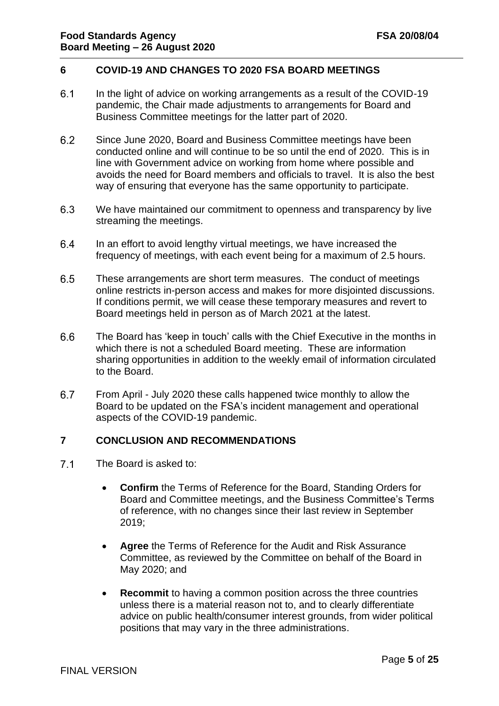### **6 COVID-19 AND CHANGES TO 2020 FSA BOARD MEETINGS**

- $6.1$ In the light of advice on working arrangements as a result of the COVID-19 pandemic, the Chair made adjustments to arrangements for Board and Business Committee meetings for the latter part of 2020.
- $6.2$ Since June 2020, Board and Business Committee meetings have been conducted online and will continue to be so until the end of 2020. This is in line with Government advice on working from home where possible and avoids the need for Board members and officials to travel. It is also the best way of ensuring that everyone has the same opportunity to participate.
- 6.3 We have maintained our commitment to openness and transparency by live streaming the meetings.
- $6.4$ In an effort to avoid lengthy virtual meetings, we have increased the frequency of meetings, with each event being for a maximum of 2.5 hours.
- $6.5$ These arrangements are short term measures. The conduct of meetings online restricts in-person access and makes for more disjointed discussions. If conditions permit, we will cease these temporary measures and revert to Board meetings held in person as of March 2021 at the latest.
- 6.6 The Board has 'keep in touch' calls with the Chief Executive in the months in which there is not a scheduled Board meeting. These are information sharing opportunities in addition to the weekly email of information circulated to the Board.
- 6.7 From April - July 2020 these calls happened twice monthly to allow the Board to be updated on the FSA's incident management and operational aspects of the COVID-19 pandemic.

#### **7 CONCLUSION AND RECOMMENDATIONS**

- $7.1$ The Board is asked to:
	- **Confirm** the Terms of Reference for the Board, Standing Orders for Board and Committee meetings, and the Business Committee's Terms of reference, with no changes since their last review in September 2019;
	- **Agree** the Terms of Reference for the Audit and Risk Assurance Committee, as reviewed by the Committee on behalf of the Board in May 2020; and
	- **Recommit** to having a common position across the three countries unless there is a material reason not to, and to clearly differentiate advice on public health/consumer interest grounds, from wider political positions that may vary in the three administrations.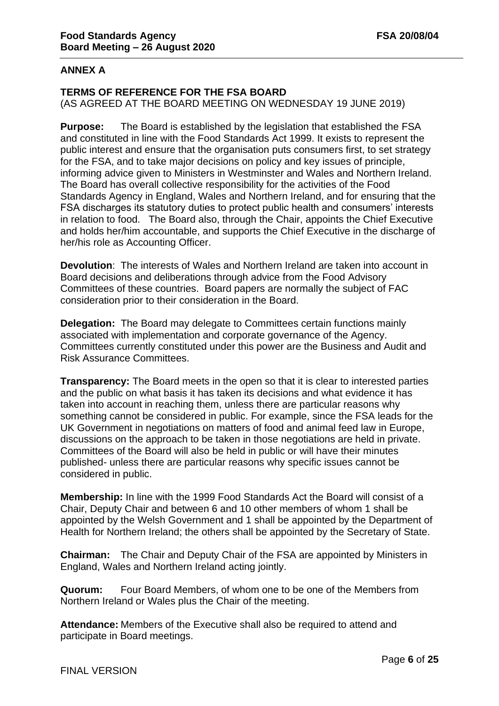### **ANNEX A**

### **TERMS OF REFERENCE FOR THE FSA BOARD**

(AS AGREED AT THE BOARD MEETING ON WEDNESDAY 19 JUNE 2019)

**Purpose:** The Board is established by the legislation that established the FSA and constituted in line with the Food Standards Act 1999. It exists to represent the public interest and ensure that the organisation puts consumers first, to set strategy for the FSA, and to take major decisions on policy and key issues of principle, informing advice given to Ministers in Westminster and Wales and Northern Ireland. The Board has overall collective responsibility for the activities of the Food Standards Agency in England, Wales and Northern Ireland, and for ensuring that the FSA discharges its statutory duties to protect public health and consumers' interests in relation to food. The Board also, through the Chair, appoints the Chief Executive and holds her/him accountable, and supports the Chief Executive in the discharge of her/his role as Accounting Officer.

**Devolution**: The interests of Wales and Northern Ireland are taken into account in Board decisions and deliberations through advice from the Food Advisory Committees of these countries. Board papers are normally the subject of FAC consideration prior to their consideration in the Board.

**Delegation:** The Board may delegate to Committees certain functions mainly associated with implementation and corporate governance of the Agency. Committees currently constituted under this power are the Business and Audit and Risk Assurance Committees.

**Transparency:** The Board meets in the open so that it is clear to interested parties and the public on what basis it has taken its decisions and what evidence it has taken into account in reaching them, unless there are particular reasons why something cannot be considered in public. For example, since the FSA leads for the UK Government in negotiations on matters of food and animal feed law in Europe, discussions on the approach to be taken in those negotiations are held in private. Committees of the Board will also be held in public or will have their minutes published- unless there are particular reasons why specific issues cannot be considered in public.

**Membership:** In line with the 1999 Food Standards Act the Board will consist of a Chair, Deputy Chair and between 6 and 10 other members of whom 1 shall be appointed by the Welsh Government and 1 shall be appointed by the Department of Health for Northern Ireland; the others shall be appointed by the Secretary of State.

**Chairman:** The Chair and Deputy Chair of the FSA are appointed by Ministers in England, Wales and Northern Ireland acting jointly.

**Quorum:** Four Board Members, of whom one to be one of the Members from Northern Ireland or Wales plus the Chair of the meeting.

**Attendance:** Members of the Executive shall also be required to attend and participate in Board meetings.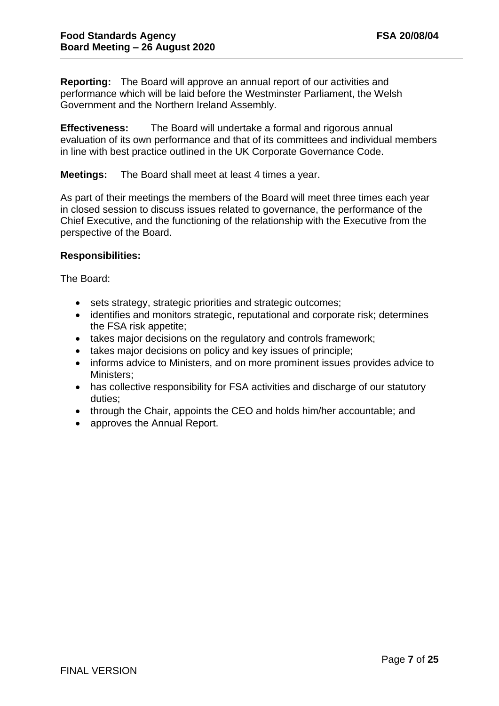**Reporting:** The Board will approve an annual report of our activities and performance which will be laid before the Westminster Parliament, the Welsh Government and the Northern Ireland Assembly.

**Effectiveness:** The Board will undertake a formal and rigorous annual evaluation of its own performance and that of its committees and individual members in line with best practice outlined in the UK Corporate Governance Code.

**Meetings:** The Board shall meet at least 4 times a year.

As part of their meetings the members of the Board will meet three times each year in closed session to discuss issues related to governance, the performance of the Chief Executive, and the functioning of the relationship with the Executive from the perspective of the Board.

### **Responsibilities:**

The Board:

- sets strategy, strategic priorities and strategic outcomes;
- identifies and monitors strategic, reputational and corporate risk; determines the FSA risk appetite;
- takes major decisions on the regulatory and controls framework;
- takes major decisions on policy and key issues of principle;
- informs advice to Ministers, and on more prominent issues provides advice to Ministers;
- has collective responsibility for FSA activities and discharge of our statutory duties;
- through the Chair, appoints the CEO and holds him/her accountable; and
- approves the Annual Report.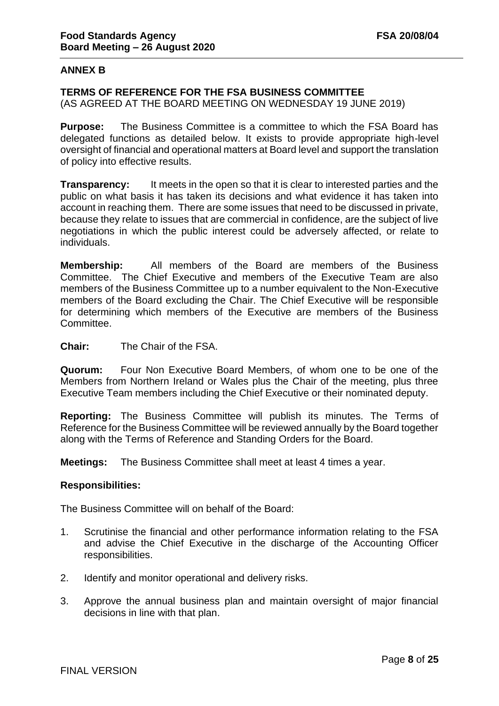### **ANNEX B**

#### **TERMS OF REFERENCE FOR THE FSA BUSINESS COMMITTEE**

(AS AGREED AT THE BOARD MEETING ON WEDNESDAY 19 JUNE 2019)

**Purpose:** The Business Committee is a committee to which the FSA Board has delegated functions as detailed below. It exists to provide appropriate high-level oversight of financial and operational matters at Board level and support the translation of policy into effective results.

**Transparency:** It meets in the open so that it is clear to interested parties and the public on what basis it has taken its decisions and what evidence it has taken into account in reaching them. There are some issues that need to be discussed in private, because they relate to issues that are commercial in confidence, are the subject of live negotiations in which the public interest could be adversely affected, or relate to individuals.

**Membership:** All members of the Board are members of the Business Committee. The Chief Executive and members of the Executive Team are also members of the Business Committee up to a number equivalent to the Non-Executive members of the Board excluding the Chair. The Chief Executive will be responsible for determining which members of the Executive are members of the Business Committee.

**Chair:** The Chair of the FSA.

**Quorum:** Four Non Executive Board Members, of whom one to be one of the Members from Northern Ireland or Wales plus the Chair of the meeting, plus three Executive Team members including the Chief Executive or their nominated deputy.

**Reporting:** The Business Committee will publish its minutes. The Terms of Reference for the Business Committee will be reviewed annually by the Board together along with the Terms of Reference and Standing Orders for the Board.

**Meetings:** The Business Committee shall meet at least 4 times a year.

#### **Responsibilities:**

The Business Committee will on behalf of the Board:

- 1. Scrutinise the financial and other performance information relating to the FSA and advise the Chief Executive in the discharge of the Accounting Officer responsibilities.
- 2. Identify and monitor operational and delivery risks.
- 3. Approve the annual business plan and maintain oversight of major financial decisions in line with that plan.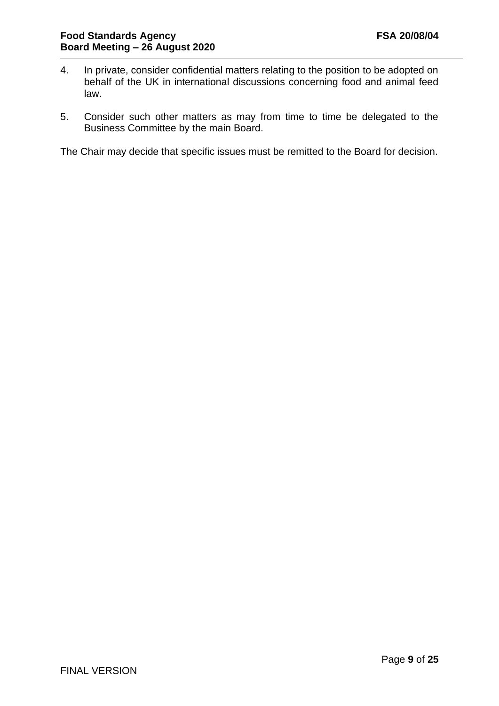- 4. In private, consider confidential matters relating to the position to be adopted on behalf of the UK in international discussions concerning food and animal feed law.
- 5. Consider such other matters as may from time to time be delegated to the Business Committee by the main Board.

The Chair may decide that specific issues must be remitted to the Board for decision.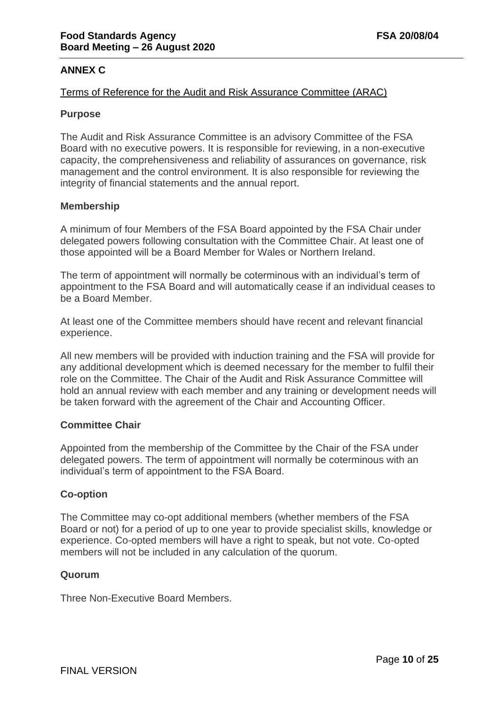### **ANNEX C**

### Terms of Reference for the Audit and Risk Assurance Committee (ARAC)

#### **Purpose**

The Audit and Risk Assurance Committee is an advisory Committee of the FSA Board with no executive powers. It is responsible for reviewing, in a non-executive capacity, the comprehensiveness and reliability of assurances on governance, risk management and the control environment. It is also responsible for reviewing the integrity of financial statements and the annual report.

#### **Membership**

A minimum of four Members of the FSA Board appointed by the FSA Chair under delegated powers following consultation with the Committee Chair. At least one of those appointed will be a Board Member for Wales or Northern Ireland.

The term of appointment will normally be coterminous with an individual's term of appointment to the FSA Board and will automatically cease if an individual ceases to be a Board Member.

At least one of the Committee members should have recent and relevant financial experience.

All new members will be provided with induction training and the FSA will provide for any additional development which is deemed necessary for the member to fulfil their role on the Committee. The Chair of the Audit and Risk Assurance Committee will hold an annual review with each member and any training or development needs will be taken forward with the agreement of the Chair and Accounting Officer.

### **Committee Chair**

Appointed from the membership of the Committee by the Chair of the FSA under delegated powers. The term of appointment will normally be coterminous with an individual's term of appointment to the FSA Board.

### **Co-option**

The Committee may co-opt additional members (whether members of the FSA Board or not) for a period of up to one year to provide specialist skills, knowledge or experience. Co-opted members will have a right to speak, but not vote. Co-opted members will not be included in any calculation of the quorum.

#### **Quorum**

Three Non-Executive Board Members.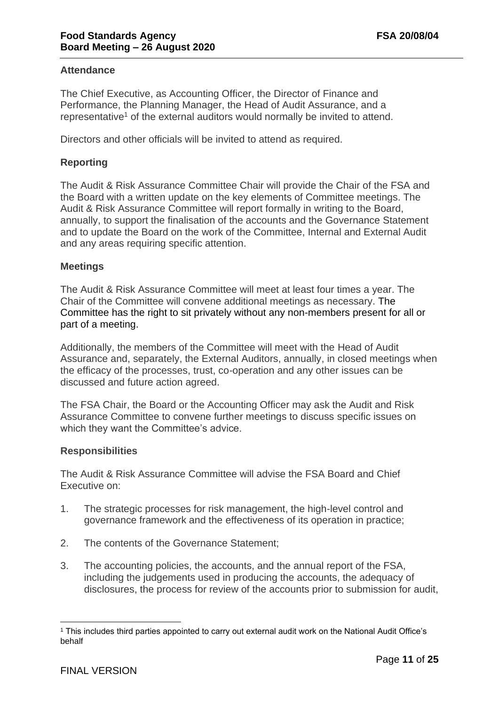### **Attendance**

The Chief Executive, as Accounting Officer, the Director of Finance and Performance, the Planning Manager, the Head of Audit Assurance, and a representative<sup>1</sup> of the external auditors would normally be invited to attend.

Directors and other officials will be invited to attend as required.

### **Reporting**

The Audit & Risk Assurance Committee Chair will provide the Chair of the FSA and the Board with a written update on the key elements of Committee meetings. The Audit & Risk Assurance Committee will report formally in writing to the Board, annually, to support the finalisation of the accounts and the Governance Statement and to update the Board on the work of the Committee, Internal and External Audit and any areas requiring specific attention.

#### **Meetings**

The Audit & Risk Assurance Committee will meet at least four times a year. The Chair of the Committee will convene additional meetings as necessary. The Committee has the right to sit privately without any non-members present for all or part of a meeting.

Additionally, the members of the Committee will meet with the Head of Audit Assurance and, separately, the External Auditors, annually, in closed meetings when the efficacy of the processes, trust, co-operation and any other issues can be discussed and future action agreed.

The FSA Chair, the Board or the Accounting Officer may ask the Audit and Risk Assurance Committee to convene further meetings to discuss specific issues on which they want the Committee's advice.

#### **Responsibilities**

The Audit & Risk Assurance Committee will advise the FSA Board and Chief Executive on:

- 1. The strategic processes for risk management, the high-level control and governance framework and the effectiveness of its operation in practice;
- 2. The contents of the Governance Statement;
- 3. The accounting policies, the accounts, and the annual report of the FSA, including the judgements used in producing the accounts, the adequacy of disclosures, the process for review of the accounts prior to submission for audit,

<sup>1</sup> This includes third parties appointed to carry out external audit work on the National Audit Office's behalf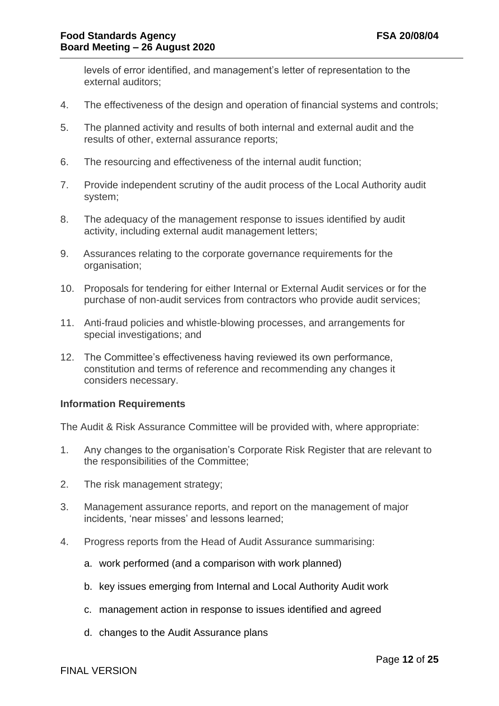levels of error identified, and management's letter of representation to the external auditors;

- 4. The effectiveness of the design and operation of financial systems and controls;
- 5. The planned activity and results of both internal and external audit and the results of other, external assurance reports;
- 6. The resourcing and effectiveness of the internal audit function;
- 7. Provide independent scrutiny of the audit process of the Local Authority audit system;
- 8. The adequacy of the management response to issues identified by audit activity, including external audit management letters;
- 9. Assurances relating to the corporate governance requirements for the organisation;
- 10. Proposals for tendering for either Internal or External Audit services or for the purchase of non-audit services from contractors who provide audit services;
- 11. Anti-fraud policies and whistle-blowing processes, and arrangements for special investigations; and
- 12. The Committee's effectiveness having reviewed its own performance, constitution and terms of reference and recommending any changes it considers necessary.

#### **Information Requirements**

The Audit & Risk Assurance Committee will be provided with, where appropriate:

- 1. Any changes to the organisation's Corporate Risk Register that are relevant to the responsibilities of the Committee;
- 2. The risk management strategy;
- 3. Management assurance reports, and report on the management of major incidents, 'near misses' and lessons learned;
- 4. Progress reports from the Head of Audit Assurance summarising:
	- a. work performed (and a comparison with work planned)
	- b. key issues emerging from Internal and Local Authority Audit work
	- c. management action in response to issues identified and agreed
	- d. changes to the Audit Assurance plans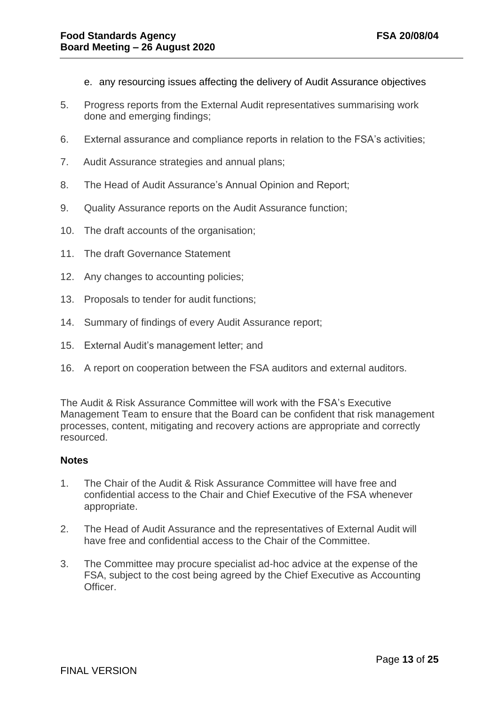- e. any resourcing issues affecting the delivery of Audit Assurance objectives
- 5. Progress reports from the External Audit representatives summarising work done and emerging findings;
- 6. External assurance and compliance reports in relation to the FSA's activities;
- 7. Audit Assurance strategies and annual plans;
- 8. The Head of Audit Assurance's Annual Opinion and Report;
- 9. Quality Assurance reports on the Audit Assurance function;
- 10. The draft accounts of the organisation;
- 11. The draft Governance Statement
- 12. Any changes to accounting policies;
- 13. Proposals to tender for audit functions;
- 14. Summary of findings of every Audit Assurance report;
- 15. External Audit's management letter; and
- 16. A report on cooperation between the FSA auditors and external auditors.

The Audit & Risk Assurance Committee will work with the FSA's Executive Management Team to ensure that the Board can be confident that risk management processes, content, mitigating and recovery actions are appropriate and correctly resourced.

#### **Notes**

- 1. The Chair of the Audit & Risk Assurance Committee will have free and confidential access to the Chair and Chief Executive of the FSA whenever appropriate.
- 2. The Head of Audit Assurance and the representatives of External Audit will have free and confidential access to the Chair of the Committee.
- 3. The Committee may procure specialist ad-hoc advice at the expense of the FSA, subject to the cost being agreed by the Chief Executive as Accounting Officer.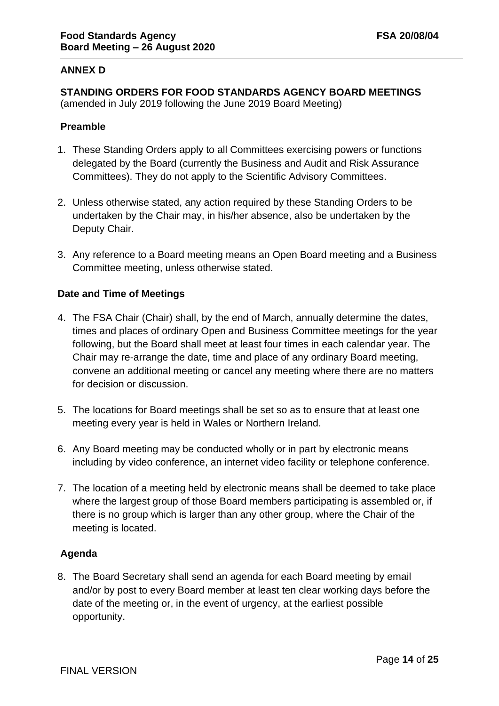# **ANNEX D**

**STANDING ORDERS FOR FOOD STANDARDS AGENCY BOARD MEETINGS**  (amended in July 2019 following the June 2019 Board Meeting)

### **Preamble**

- 1. These Standing Orders apply to all Committees exercising powers or functions delegated by the Board (currently the Business and Audit and Risk Assurance Committees). They do not apply to the Scientific Advisory Committees.
- 2. Unless otherwise stated, any action required by these Standing Orders to be undertaken by the Chair may, in his/her absence, also be undertaken by the Deputy Chair.
- 3. Any reference to a Board meeting means an Open Board meeting and a Business Committee meeting, unless otherwise stated.

#### **Date and Time of Meetings**

- 4. The FSA Chair (Chair) shall, by the end of March, annually determine the dates, times and places of ordinary Open and Business Committee meetings for the year following, but the Board shall meet at least four times in each calendar year. The Chair may re-arrange the date, time and place of any ordinary Board meeting, convene an additional meeting or cancel any meeting where there are no matters for decision or discussion.
- 5. The locations for Board meetings shall be set so as to ensure that at least one meeting every year is held in Wales or Northern Ireland.
- 6. Any Board meeting may be conducted wholly or in part by electronic means including by video conference, an internet video facility or telephone conference.
- 7. The location of a meeting held by electronic means shall be deemed to take place where the largest group of those Board members participating is assembled or, if there is no group which is larger than any other group, where the Chair of the meeting is located.

### **Agenda**

8. The Board Secretary shall send an agenda for each Board meeting by email and/or by post to every Board member at least ten clear working days before the date of the meeting or, in the event of urgency, at the earliest possible opportunity.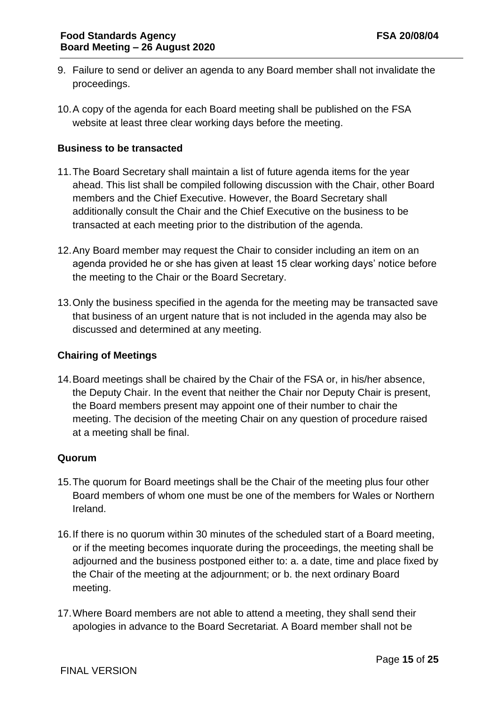- 9. Failure to send or deliver an agenda to any Board member shall not invalidate the proceedings.
- 10.A copy of the agenda for each Board meeting shall be published on the FSA website at least three clear working days before the meeting.

# **Business to be transacted**

- 11.The Board Secretary shall maintain a list of future agenda items for the year ahead. This list shall be compiled following discussion with the Chair, other Board members and the Chief Executive. However, the Board Secretary shall additionally consult the Chair and the Chief Executive on the business to be transacted at each meeting prior to the distribution of the agenda.
- 12.Any Board member may request the Chair to consider including an item on an agenda provided he or she has given at least 15 clear working days' notice before the meeting to the Chair or the Board Secretary.
- 13.Only the business specified in the agenda for the meeting may be transacted save that business of an urgent nature that is not included in the agenda may also be discussed and determined at any meeting.

### **Chairing of Meetings**

14.Board meetings shall be chaired by the Chair of the FSA or, in his/her absence, the Deputy Chair. In the event that neither the Chair nor Deputy Chair is present, the Board members present may appoint one of their number to chair the meeting. The decision of the meeting Chair on any question of procedure raised at a meeting shall be final.

### **Quorum**

- 15.The quorum for Board meetings shall be the Chair of the meeting plus four other Board members of whom one must be one of the members for Wales or Northern Ireland.
- 16.If there is no quorum within 30 minutes of the scheduled start of a Board meeting, or if the meeting becomes inquorate during the proceedings, the meeting shall be adjourned and the business postponed either to: a. a date, time and place fixed by the Chair of the meeting at the adjournment; or b. the next ordinary Board meeting.
- 17.Where Board members are not able to attend a meeting, they shall send their apologies in advance to the Board Secretariat. A Board member shall not be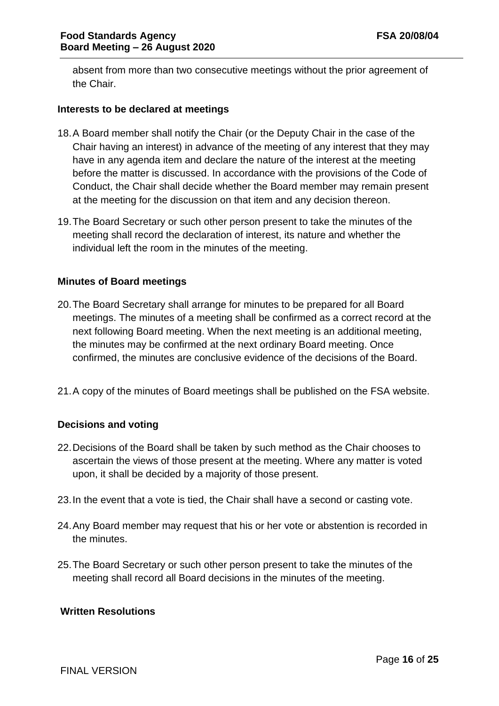absent from more than two consecutive meetings without the prior agreement of the Chair.

#### **Interests to be declared at meetings**

- 18.A Board member shall notify the Chair (or the Deputy Chair in the case of the Chair having an interest) in advance of the meeting of any interest that they may have in any agenda item and declare the nature of the interest at the meeting before the matter is discussed. In accordance with the provisions of the Code of Conduct, the Chair shall decide whether the Board member may remain present at the meeting for the discussion on that item and any decision thereon.
- 19.The Board Secretary or such other person present to take the minutes of the meeting shall record the declaration of interest, its nature and whether the individual left the room in the minutes of the meeting.

### **Minutes of Board meetings**

- 20.The Board Secretary shall arrange for minutes to be prepared for all Board meetings. The minutes of a meeting shall be confirmed as a correct record at the next following Board meeting. When the next meeting is an additional meeting, the minutes may be confirmed at the next ordinary Board meeting. Once confirmed, the minutes are conclusive evidence of the decisions of the Board.
- 21.A copy of the minutes of Board meetings shall be published on the FSA website.

### **Decisions and voting**

- 22.Decisions of the Board shall be taken by such method as the Chair chooses to ascertain the views of those present at the meeting. Where any matter is voted upon, it shall be decided by a majority of those present.
- 23.In the event that a vote is tied, the Chair shall have a second or casting vote.
- 24.Any Board member may request that his or her vote or abstention is recorded in the minutes.
- 25.The Board Secretary or such other person present to take the minutes of the meeting shall record all Board decisions in the minutes of the meeting.

#### **Written Resolutions**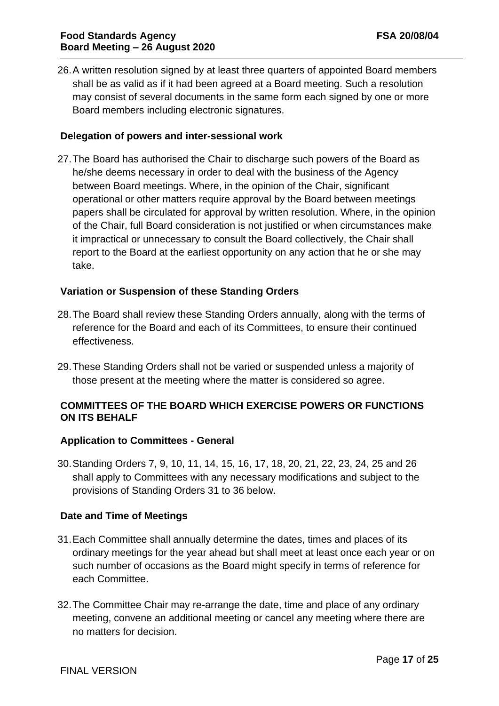26.A written resolution signed by at least three quarters of appointed Board members shall be as valid as if it had been agreed at a Board meeting. Such a resolution may consist of several documents in the same form each signed by one or more Board members including electronic signatures.

### **Delegation of powers and inter-sessional work**

27.The Board has authorised the Chair to discharge such powers of the Board as he/she deems necessary in order to deal with the business of the Agency between Board meetings. Where, in the opinion of the Chair, significant operational or other matters require approval by the Board between meetings papers shall be circulated for approval by written resolution. Where, in the opinion of the Chair, full Board consideration is not justified or when circumstances make it impractical or unnecessary to consult the Board collectively, the Chair shall report to the Board at the earliest opportunity on any action that he or she may take.

#### **Variation or Suspension of these Standing Orders**

- 28.The Board shall review these Standing Orders annually, along with the terms of reference for the Board and each of its Committees, to ensure their continued effectiveness.
- 29.These Standing Orders shall not be varied or suspended unless a majority of those present at the meeting where the matter is considered so agree.

### **COMMITTEES OF THE BOARD WHICH EXERCISE POWERS OR FUNCTIONS ON ITS BEHALF**

#### **Application to Committees - General**

30.Standing Orders 7, 9, 10, 11, 14, 15, 16, 17, 18, 20, 21, 22, 23, 24, 25 and 26 shall apply to Committees with any necessary modifications and subject to the provisions of Standing Orders 31 to 36 below.

#### **Date and Time of Meetings**

- 31.Each Committee shall annually determine the dates, times and places of its ordinary meetings for the year ahead but shall meet at least once each year or on such number of occasions as the Board might specify in terms of reference for each Committee.
- 32.The Committee Chair may re-arrange the date, time and place of any ordinary meeting, convene an additional meeting or cancel any meeting where there are no matters for decision.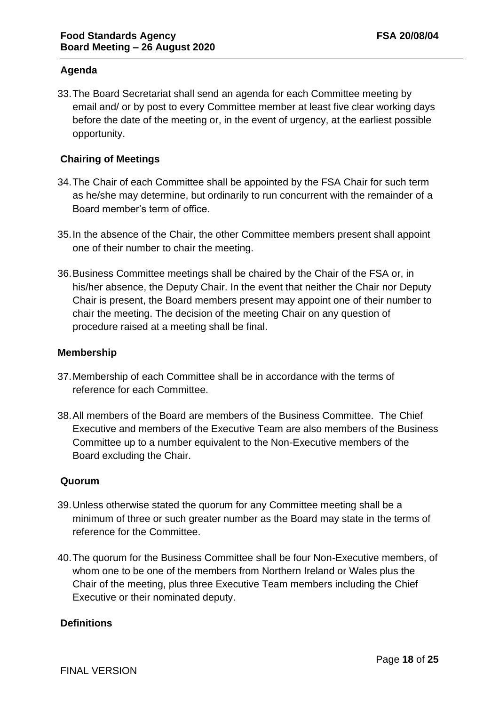# **Agenda**

33.The Board Secretariat shall send an agenda for each Committee meeting by email and/ or by post to every Committee member at least five clear working days before the date of the meeting or, in the event of urgency, at the earliest possible opportunity.

### **Chairing of Meetings**

- 34.The Chair of each Committee shall be appointed by the FSA Chair for such term as he/she may determine, but ordinarily to run concurrent with the remainder of a Board member's term of office.
- 35.In the absence of the Chair, the other Committee members present shall appoint one of their number to chair the meeting.
- 36.Business Committee meetings shall be chaired by the Chair of the FSA or, in his/her absence, the Deputy Chair. In the event that neither the Chair nor Deputy Chair is present, the Board members present may appoint one of their number to chair the meeting. The decision of the meeting Chair on any question of procedure raised at a meeting shall be final.

### **Membership**

- 37.Membership of each Committee shall be in accordance with the terms of reference for each Committee.
- 38.All members of the Board are members of the Business Committee. The Chief Executive and members of the Executive Team are also members of the Business Committee up to a number equivalent to the Non-Executive members of the Board excluding the Chair.

### **Quorum**

- 39.Unless otherwise stated the quorum for any Committee meeting shall be a minimum of three or such greater number as the Board may state in the terms of reference for the Committee.
- 40.The quorum for the Business Committee shall be four Non-Executive members, of whom one to be one of the members from Northern Ireland or Wales plus the Chair of the meeting, plus three Executive Team members including the Chief Executive or their nominated deputy.

### **Definitions**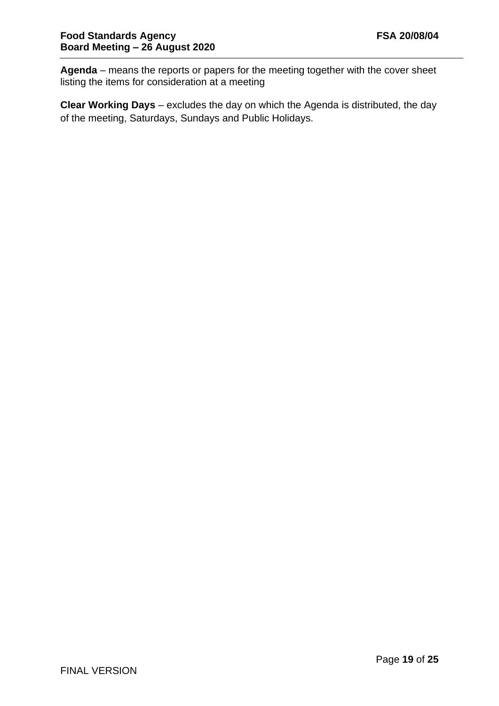**Agenda** – means the reports or papers for the meeting together with the cover sheet listing the items for consideration at a meeting

**Clear Working Days** – excludes the day on which the Agenda is distributed, the day of the meeting, Saturdays, Sundays and Public Holidays.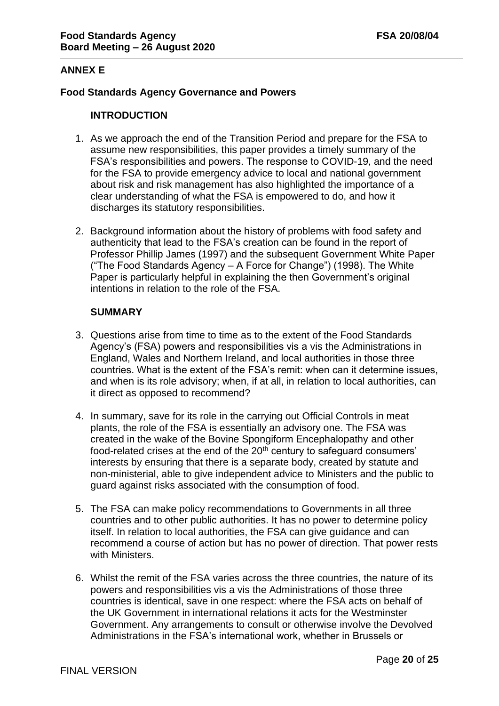### **ANNEX E**

#### **Food Standards Agency Governance and Powers**

#### **INTRODUCTION**

- 1. As we approach the end of the Transition Period and prepare for the FSA to assume new responsibilities, this paper provides a timely summary of the FSA's responsibilities and powers. The response to COVID-19, and the need for the FSA to provide emergency advice to local and national government about risk and risk management has also highlighted the importance of a clear understanding of what the FSA is empowered to do, and how it discharges its statutory responsibilities.
- 2. Background information about the history of problems with food safety and authenticity that lead to the FSA's creation can be found in the report of Professor Phillip James (1997) and the subsequent Government White Paper ("The Food Standards Agency – A Force for Change") (1998). The White Paper is particularly helpful in explaining the then Government's original intentions in relation to the role of the FSA.

#### **SUMMARY**

- 3. Questions arise from time to time as to the extent of the Food Standards Agency's (FSA) powers and responsibilities vis a vis the Administrations in England, Wales and Northern Ireland, and local authorities in those three countries. What is the extent of the FSA's remit: when can it determine issues, and when is its role advisory; when, if at all, in relation to local authorities, can it direct as opposed to recommend?
- 4. In summary, save for its role in the carrying out Official Controls in meat plants, the role of the FSA is essentially an advisory one. The FSA was created in the wake of the Bovine Spongiform Encephalopathy and other food-related crises at the end of the 20<sup>th</sup> century to safeguard consumers' interests by ensuring that there is a separate body, created by statute and non-ministerial, able to give independent advice to Ministers and the public to guard against risks associated with the consumption of food.
- 5. The FSA can make policy recommendations to Governments in all three countries and to other public authorities. It has no power to determine policy itself. In relation to local authorities, the FSA can give guidance and can recommend a course of action but has no power of direction. That power rests with Ministers.
- 6. Whilst the remit of the FSA varies across the three countries, the nature of its powers and responsibilities vis a vis the Administrations of those three countries is identical, save in one respect: where the FSA acts on behalf of the UK Government in international relations it acts for the Westminster Government. Any arrangements to consult or otherwise involve the Devolved Administrations in the FSA's international work, whether in Brussels or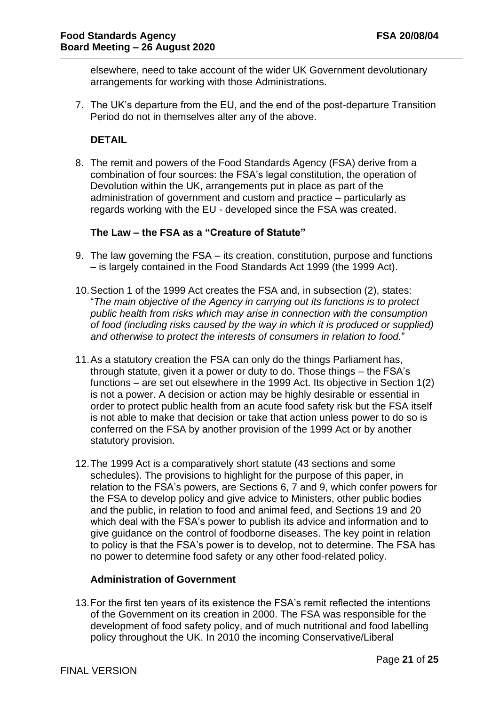elsewhere, need to take account of the wider UK Government devolutionary arrangements for working with those Administrations.

7. The UK's departure from the EU, and the end of the post-departure Transition Period do not in themselves alter any of the above.

### **DETAIL**

8. The remit and powers of the Food Standards Agency (FSA) derive from a combination of four sources: the FSA's legal constitution, the operation of Devolution within the UK, arrangements put in place as part of the administration of government and custom and practice – particularly as regards working with the EU - developed since the FSA was created.

#### **The Law – the FSA as a "Creature of Statute"**

- 9. The law governing the FSA its creation, constitution, purpose and functions – is largely contained in the Food Standards Act 1999 (the 1999 Act).
- 10.Section 1 of the 1999 Act creates the FSA and, in subsection (2), states: "*The main objective of the Agency in carrying out its functions is to protect public health from risks which may arise in connection with the consumption of food (including risks caused by the way in which it is produced or supplied) and otherwise to protect the interests of consumers in relation to food.*"
- 11.As a statutory creation the FSA can only do the things Parliament has, through statute, given it a power or duty to do. Those things – the FSA's functions – are set out elsewhere in the 1999 Act. Its objective in Section 1(2) is not a power. A decision or action may be highly desirable or essential in order to protect public health from an acute food safety risk but the FSA itself is not able to make that decision or take that action unless power to do so is conferred on the FSA by another provision of the 1999 Act or by another statutory provision.
- 12.The 1999 Act is a comparatively short statute (43 sections and some schedules). The provisions to highlight for the purpose of this paper, in relation to the FSA's powers, are Sections 6, 7 and 9, which confer powers for the FSA to develop policy and give advice to Ministers, other public bodies and the public, in relation to food and animal feed, and Sections 19 and 20 which deal with the FSA's power to publish its advice and information and to give guidance on the control of foodborne diseases. The key point in relation to policy is that the FSA's power is to develop, not to determine. The FSA has no power to determine food safety or any other food-related policy.

### **Administration of Government**

13.For the first ten years of its existence the FSA's remit reflected the intentions of the Government on its creation in 2000. The FSA was responsible for the development of food safety policy, and of much nutritional and food labelling policy throughout the UK. In 2010 the incoming Conservative/Liberal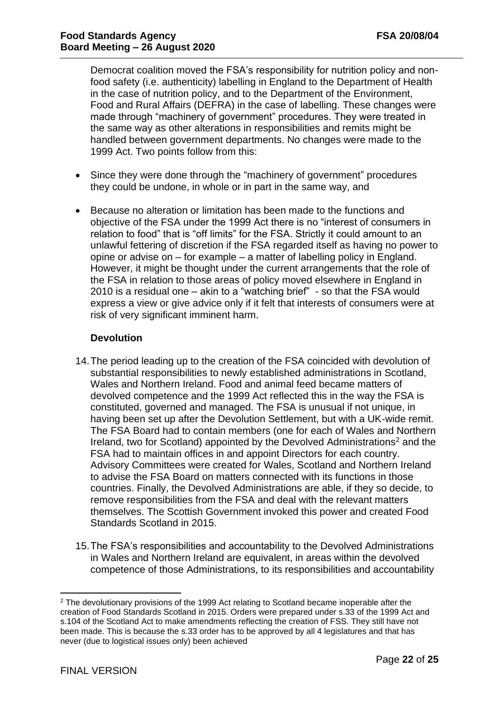Democrat coalition moved the FSA's responsibility for nutrition policy and nonfood safety (i.e. authenticity) labelling in England to the Department of Health in the case of nutrition policy, and to the Department of the Environment, Food and Rural Affairs (DEFRA) in the case of labelling. These changes were made through "machinery of government" procedures. They were treated in the same way as other alterations in responsibilities and remits might be handled between government departments. No changes were made to the 1999 Act. Two points follow from this:

- Since they were done through the "machinery of government" procedures they could be undone, in whole or in part in the same way, and
- Because no alteration or limitation has been made to the functions and objective of the FSA under the 1999 Act there is no "interest of consumers in relation to food" that is "off limits" for the FSA. Strictly it could amount to an unlawful fettering of discretion if the FSA regarded itself as having no power to opine or advise on – for example – a matter of labelling policy in England. However, it might be thought under the current arrangements that the role of the FSA in relation to those areas of policy moved elsewhere in England in 2010 is a residual one – akin to a "watching brief" - so that the FSA would express a view or give advice only if it felt that interests of consumers were at risk of very significant imminent harm.

# **Devolution**

- 14.The period leading up to the creation of the FSA coincided with devolution of substantial responsibilities to newly established administrations in Scotland, Wales and Northern Ireland. Food and animal feed became matters of devolved competence and the 1999 Act reflected this in the way the FSA is constituted, governed and managed. The FSA is unusual if not unique, in having been set up after the Devolution Settlement, but with a UK-wide remit. The FSA Board had to contain members (one for each of Wales and Northern Ireland, two for Scotland) appointed by the Devolved Administrations<sup>2</sup> and the FSA had to maintain offices in and appoint Directors for each country. Advisory Committees were created for Wales, Scotland and Northern Ireland to advise the FSA Board on matters connected with its functions in those countries. Finally, the Devolved Administrations are able, if they so decide, to remove responsibilities from the FSA and deal with the relevant matters themselves. The Scottish Government invoked this power and created Food Standards Scotland in 2015.
- 15.The FSA's responsibilities and accountability to the Devolved Administrations in Wales and Northern Ireland are equivalent, in areas within the devolved competence of those Administrations, to its responsibilities and accountability

<sup>2</sup> The devolutionary provisions of the 1999 Act relating to Scotland became inoperable after the creation of Food Standards Scotland in 2015. Orders were prepared under s.33 of the 1999 Act and s.104 of the Scotland Act to make amendments reflecting the creation of FSS. They still have not been made. This is because the s.33 order has to be approved by all 4 legislatures and that has never (due to logistical issues only) been achieved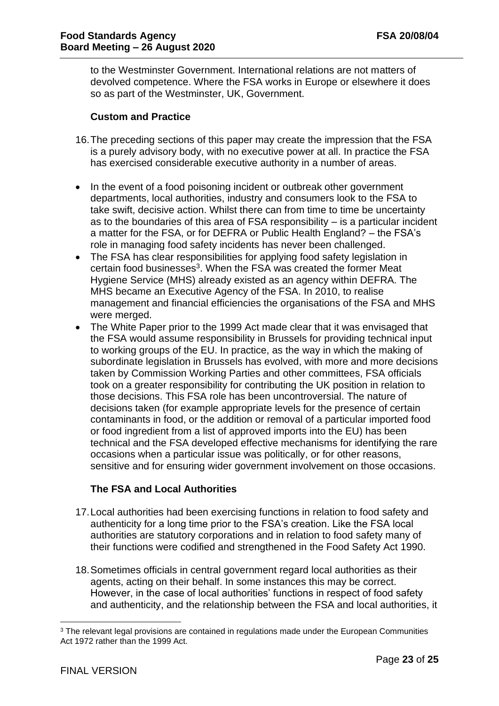to the Westminster Government. International relations are not matters of devolved competence. Where the FSA works in Europe or elsewhere it does so as part of the Westminster, UK, Government.

### **Custom and Practice**

- 16.The preceding sections of this paper may create the impression that the FSA is a purely advisory body, with no executive power at all. In practice the FSA has exercised considerable executive authority in a number of areas.
- In the event of a food poisoning incident or outbreak other government departments, local authorities, industry and consumers look to the FSA to take swift, decisive action. Whilst there can from time to time be uncertainty as to the boundaries of this area of FSA responsibility – is a particular incident a matter for the FSA, or for DEFRA or Public Health England? – the FSA's role in managing food safety incidents has never been challenged.
- The FSA has clear responsibilities for applying food safety legislation in certain food businesses<sup>3</sup>. When the FSA was created the former Meat Hygiene Service (MHS) already existed as an agency within DEFRA. The MHS became an Executive Agency of the FSA. In 2010, to realise management and financial efficiencies the organisations of the FSA and MHS were merged.
- The White Paper prior to the 1999 Act made clear that it was envisaged that the FSA would assume responsibility in Brussels for providing technical input to working groups of the EU. In practice, as the way in which the making of subordinate legislation in Brussels has evolved, with more and more decisions taken by Commission Working Parties and other committees, FSA officials took on a greater responsibility for contributing the UK position in relation to those decisions. This FSA role has been uncontroversial. The nature of decisions taken (for example appropriate levels for the presence of certain contaminants in food, or the addition or removal of a particular imported food or food ingredient from a list of approved imports into the EU) has been technical and the FSA developed effective mechanisms for identifying the rare occasions when a particular issue was politically, or for other reasons, sensitive and for ensuring wider government involvement on those occasions.

### **The FSA and Local Authorities**

- 17.Local authorities had been exercising functions in relation to food safety and authenticity for a long time prior to the FSA's creation. Like the FSA local authorities are statutory corporations and in relation to food safety many of their functions were codified and strengthened in the Food Safety Act 1990.
- 18.Sometimes officials in central government regard local authorities as their agents, acting on their behalf. In some instances this may be correct. However, in the case of local authorities' functions in respect of food safety and authenticity, and the relationship between the FSA and local authorities, it

<sup>&</sup>lt;sup>3</sup> The relevant legal provisions are contained in regulations made under the European Communities Act 1972 rather than the 1999 Act.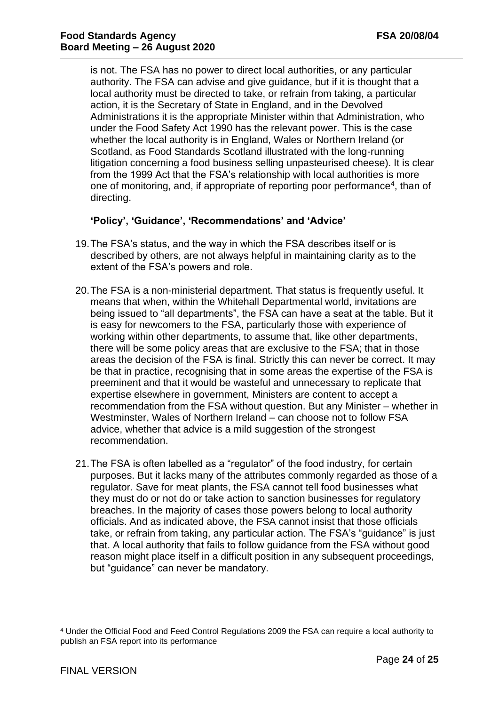is not. The FSA has no power to direct local authorities, or any particular authority. The FSA can advise and give guidance, but if it is thought that a local authority must be directed to take, or refrain from taking, a particular action, it is the Secretary of State in England, and in the Devolved Administrations it is the appropriate Minister within that Administration, who under the Food Safety Act 1990 has the relevant power. This is the case whether the local authority is in England, Wales or Northern Ireland (or Scotland, as Food Standards Scotland illustrated with the long-running litigation concerning a food business selling unpasteurised cheese). It is clear from the 1999 Act that the FSA's relationship with local authorities is more one of monitoring, and, if appropriate of reporting poor performance<sup>4</sup>, than of directing.

# **'Policy', 'Guidance', 'Recommendations' and 'Advice'**

- 19.The FSA's status, and the way in which the FSA describes itself or is described by others, are not always helpful in maintaining clarity as to the extent of the FSA's powers and role.
- 20.The FSA is a non-ministerial department. That status is frequently useful. It means that when, within the Whitehall Departmental world, invitations are being issued to "all departments", the FSA can have a seat at the table. But it is easy for newcomers to the FSA, particularly those with experience of working within other departments, to assume that, like other departments, there will be some policy areas that are exclusive to the FSA; that in those areas the decision of the FSA is final. Strictly this can never be correct. It may be that in practice, recognising that in some areas the expertise of the FSA is preeminent and that it would be wasteful and unnecessary to replicate that expertise elsewhere in government, Ministers are content to accept a recommendation from the FSA without question. But any Minister – whether in Westminster, Wales of Northern Ireland – can choose not to follow FSA advice, whether that advice is a mild suggestion of the strongest recommendation.
- 21.The FSA is often labelled as a "regulator" of the food industry, for certain purposes. But it lacks many of the attributes commonly regarded as those of a regulator. Save for meat plants, the FSA cannot tell food businesses what they must do or not do or take action to sanction businesses for regulatory breaches. In the majority of cases those powers belong to local authority officials. And as indicated above, the FSA cannot insist that those officials take, or refrain from taking, any particular action. The FSA's "guidance" is just that. A local authority that fails to follow guidance from the FSA without good reason might place itself in a difficult position in any subsequent proceedings, but "guidance" can never be mandatory.

<sup>4</sup> Under the Official Food and Feed Control Regulations 2009 the FSA can require a local authority to publish an FSA report into its performance